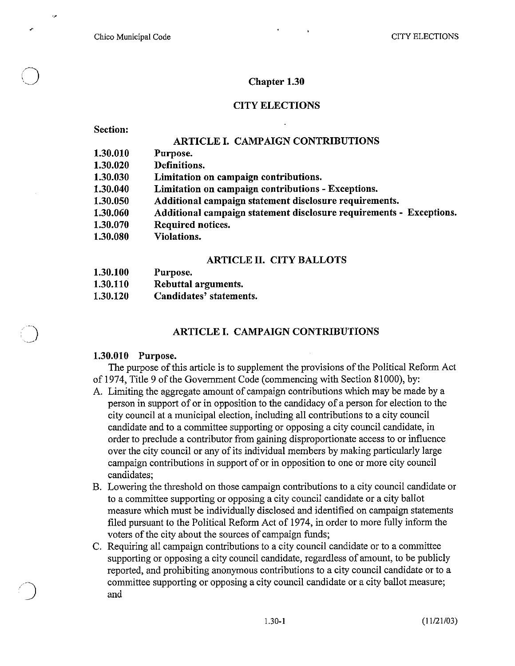Chico Municipal Code CITY ELECTIONS

### **Chapter 1.30**

#### **CITY ELECTIONS**

**Section:** 

**1.30.100** 

o

 $\bigcirc$ 

/)

#### **ARTICLE I. CAMPAIGN CONTRIBUTIONS**

| 1.30.010 | Purpose.                                                            |
|----------|---------------------------------------------------------------------|
| 1.30.020 | Definitions.                                                        |
| 1.30.030 | Limitation on campaign contributions.                               |
| 1.30.040 | Limitation on campaign contributions - Exceptions.                  |
| 1.30.050 | Additional campaign statement disclosure requirements.              |
| 1.30.060 | Additional campaign statement disclosure requirements - Exceptions. |
| 1.30.070 | Required notices.                                                   |
| 1.30.080 | <b>Violations.</b>                                                  |
|          |                                                                     |

#### **ARTICLE II. CITY BALLOTS**

| 1.30.100 | Purpose.                |
|----------|-------------------------|
| 1.30.110 | Rebuttal arguments.     |
| 1.30.120 | Candidates' statements. |

### **ARTICLE I. CAMPAIGN CONTRIBUTIONS**

#### **1.30.010 Purpose.**

The purpose of this article is to supplement the provisions of the Political Reform Act of 1974, Title 9 of the Government Code (commencing with Section 81000), by:

- A. Limiting the aggregate amount of campaign contributions which may be made by a person in support of or in opposition to the candidacy of a person for election to the city council at a municipal election, including all contributions to a city council candidate and to a committee supporting or opposing a city council candidate, in order to preclude a contributor from gaining disproportionate access to or influence over the city council or any of its individual members by making particularly large campaign contributions in support of or in opposition to one or more city council candidates;
- B. Lowering the threshold on those campaign contributions to a city council candidate or to a committee supporting or opposing a city council candidate or a city ballot measure which must be individually disclosed and identified on campaign statements filed pursuant to the Political Reform Act of 1974, in order to more fully inform the voters of the city about the sources of campaign funds;
- C. Requiring all campaign contributions to a city council candidate or to a committee supporting or opposing a city council candidate, regardless of amount, to be publicly reported, and prohibiting anonymous contributions to a city council candidate or to a committee supporting or opposing a city council candidate or a city ballot measure; and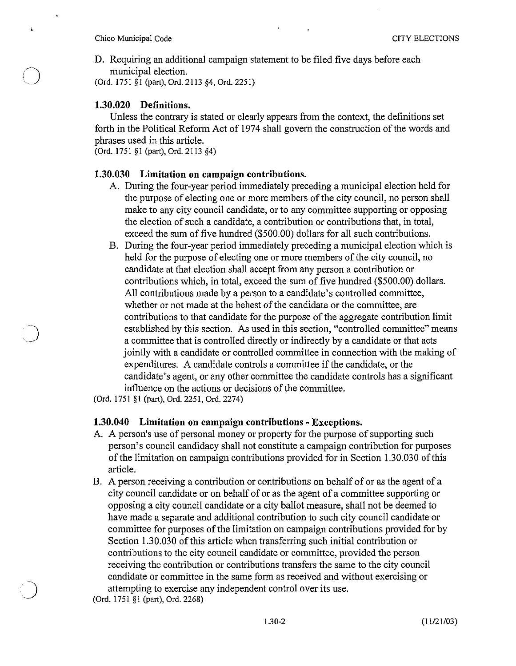i.

 $\bigcirc$ 

D. Requiring an additional campaign statement to be filed five days before each municipal election.

(Ord. 1751 §I (part), Ord. 2113 §4, Ord. 2251)

## **1.30.020 Definitions.**

Unless the contrary is stated or clearly appears from the context, the definitions set forth in the Political Reform Act of 1974 shall govern the construction of the words and phrases used in this article.

(Ord. 1751 §1 (part), Ord. 2113 §4)

### **1.30.030 Limitation on campaign contributions.**

- A. During the four-year period immediately preceding a municipal election held for the purpose of electing one or more members of the city council, no person shall make to any city council candidate, or to any committee supporting or opposing the election of such a candidate, a contribution or contributions that, in total, exceed the sum of five hundred (\$500.00) dollars for all such contributions.
- B. During the four-year period immediately preceding a municipal election which is held for the purpose of electing one or more members of the city council, no candidate at that election shall accept from any person a contribution or contributions which, in total, exceed the sum of five hundred (\$500.00) dollars. All contributions made by a person to a candidate's controlled committee, whether or not made at the behest of the candidate or the committee, are contributions to that candidate for the purpose of the aggregate contribution limit established by this section. As used in this section, "controlled committee" means a committee that is controlled directly or indirectly by a candidate or that acts jointly with a candidate or controlled committee in connection with the making of expenditures. A candidate controls a committee if the candidate, or the candidate's agent, or any other committee the candidate controls has a significant influence on the actions or decisions of the committee.

(Ord. 1751 §1 (part), Ord. 2251, Ord. 2274)

# **1.30.040 Limitation on campaign contributions - Exceptions.**

- A. A person's use of personal money or property for the purpose of supporting such person's council candidacy shall not constitute a campaign contribution for purposes of the limitation on campaign contributions provided for in Section 1.30.030 of this article.
- B. A person receiving a contribution or contributions on behalf of or as the agent of a city council candidate or on behalf of or as the agent of a committee supporting or opposing a city council candidate or a city ballot measure, shall not be deemed to have made a separate and additional contribution to such city council candidate or committee for purposes of the limitation on campaign contributions provided for by Section 1.30.030 of this article when transferring such initial contribution or contributions to the city council candidate or committee, provided the person receiving the contribution or contributions transfers the same to the city council candidate or committee in the same form as received and without exercising or attempting to exercise any independent control over its use.

(Ord. 1751 §1 (part), Ord. 2268)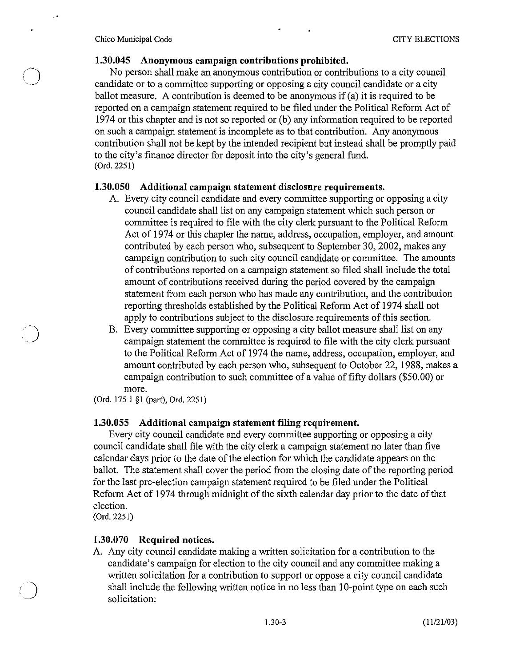Chico Municipal Code CITY ELECTIONS

.'

 $\bigcirc$ 

 $\mathbf{r}$ 

 $\overline{O}$ 

### 1.30.045 Anonymous campaign contributions prohibited.

No person shall make an anonymous contribution or contributions to a city council candidate or to a committee supporting or opposing a city council candidate or a city ballot measure. A contribution is deemed to be anonymous if (a) it is required to be reported on a campaign statement required to be filed under the Political Reform Act of 1974 or this chapter and is not so reported or (b) any information required to be reported on such a campaign statement is incomplete as to that contribution. Any anonymous contribution shall not be kept by the intended recipient but instead shall be promptly paid to the city's finance director for deposit into the city's general fund. COrd. 2251)

### 1.30.050 Additional campaign statement disclosure requirements.

- A. Every city council candidate and every committee supporting or opposing a city council candidate shall list on any campaign statement which such person or committee is required to file with the city clerk pursuant to the Political Reform Act of 1974 or this chapter the name, address, occupation, employer, and amount contributed by each person who, subsequent to September 30, 2002, makes any campaign contribution to such city council candidate or committee. The amounts of contributions reported on a campaign statement so filed shall include the total amount of contributions received during the period covered by the campaign statement from each person who has made any conlribulion, and lhe contribution reporting thresholds established by the Political Reform Act of 1974 shall not apply to contributions subject to the disclosure requirements of this section.
- B. Every committee supporting or opposing a city ballot measure shall list on any campaign statement the committee is required to file with the city clerk pursuant to the Political Reform Act of 1974 the name, address, occupation, employer, and amount contributed by each person who, subsequent to October 22, 1988, makes a campaign contribution to such committee of a value of fifty dollars (\$50.00) or more.

COrd. 175 1 §I (part), Ord. 2251)

# 1.30.055 Additional campaign statement filing requirement.

Every city council candidate and every committee supporting or opposing a city council candidate shall file with the city clerk a campaign statement no later than five calendar days prior to the date of the election for which the candidate appears on the ballot. The statement shall cover the period from the closing date of the reporting period for the last pre-election campaign statement required to be filed under the Political Reform Act of 1974 through midnight of the sixth calendar day prior to the date of that election.

(Ord.2251)

# 1.30.070 Required notices.

A. Any city council candidate making a written solicitation for a contribution to the candidate's campaign for election to the city council and any committee making a written solicitation for a contribution to support or oppose a city council candidate shall include the following written notice in no less than 10-point type on each such solicitation: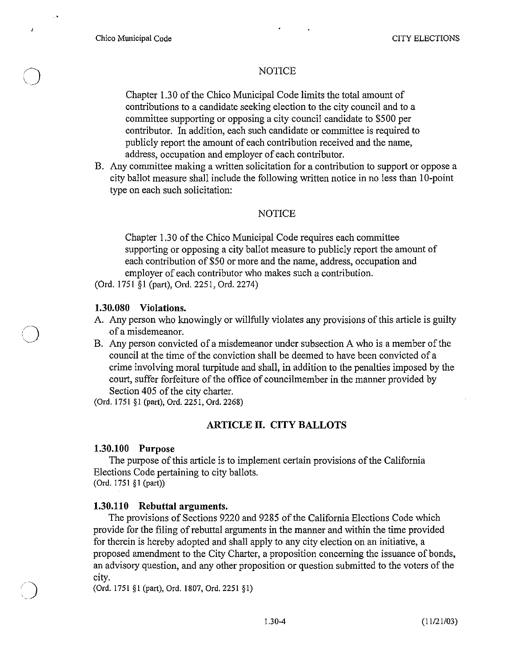$\bigcirc$ 

 $\mathbf{J}$ 

 $\overline{O}$ 

# **NOTICE**

Chapter 1.3 0 of the Chico Municipal Code limits the total amount of contributions to a candidate seeking election to the city council and to a committee supporting or opposing a city council candidate to \$500 per contributor. In addition, each such candidate or committee is required to publicly report the amount of each contribution received and the name, address, occupation and employer of each contributor.

B. Any committee making a written solicitation for a contribution to support or oppose a city ballot measure shall include the following written notice in no less than 10-point type on each such solicitation:

#### **NOTICE**

Chapter 1.30 of the Chico Municipal Code requires each committee supporting or opposing a city ballot measure to publicly report the amount of each contribution of \$50 or more and the name, address, occupation and employer of each contributor who makes such a contribution.

(Ord. 1751 §1 (part), Ord. 2251, Ord. 2274)

### **1.30.080 Violations.**

- A. Any person who knowingly or willfully violates any provisions of this article is guilty of a misdemeanor.
- B. Any person convicted of a misdemeanor under subsection A who is a member of the council at the time of the conviction shall be deemed to have been convicted of a crime involving moral turpitude and shall, in addition to the penalties imposed by the court, suffer forfeiture of the office of councilmember in the manner provided by Section 405 of the city charter.

(Ord. 1751 §1 (part), Ord. 2251, Ord. 2268)

# **ARTICLE II. CITY BALLOTS**

#### **1.30.100 Purpose**

The purpose of this article is to implement certain provisions of the California Elections Code pertaining to city ballots. (Ord. 1751 §1 (part))

# **1.30.110 Rebuttal arguments.**

The provisions of Sections 9220 and 9285 of the California Elections Code which provide for the filing of rebuttal arguments in the manner and within the time provided for therein is hereby adopted and shall apply to any city election on an initiative, a proposed amendment to the City Charter, a proposition concerning the issuance of bonds, an advisory question, and any other proposition or question submitted to the voters of the city.

(Ord. 1751 §1 (part), Ord. 1807, Ord. 2251 §1)